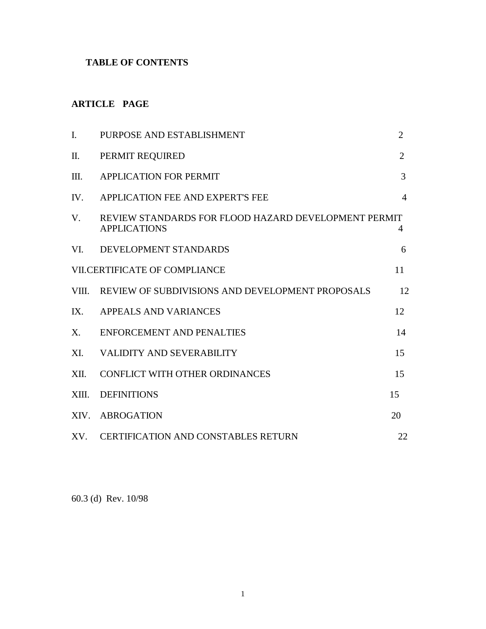## **TABLE OF CONTENTS**

# **ARTICLE PAGE**

| I.                                   | PURPOSE AND ESTABLISHMENT                                                   | $\overline{2}$ |
|--------------------------------------|-----------------------------------------------------------------------------|----------------|
| Π.                                   | PERMIT REQUIRED                                                             | $\overline{2}$ |
| Ш.                                   | <b>APPLICATION FOR PERMIT</b>                                               | 3              |
| IV.                                  | APPLICATION FEE AND EXPERT'S FEE                                            | $\overline{4}$ |
| $V_{\cdot}$                          | REVIEW STANDARDS FOR FLOOD HAZARD DEVELOPMENT PERMIT<br><b>APPLICATIONS</b> | 4              |
| VI.                                  | DEVELOPMENT STANDARDS                                                       | 6              |
| <b>VII.CERTIFICATE OF COMPLIANCE</b> |                                                                             | 11             |
|                                      | VIII. REVIEW OF SUBDIVISIONS AND DEVELOPMENT PROPOSALS                      | 12             |
| IX.                                  | APPEALS AND VARIANCES                                                       | 12             |
| $X_{\cdot}$                          | <b>ENFORCEMENT AND PENALTIES</b>                                            | 14             |
| XI.                                  | VALIDITY AND SEVERABILITY                                                   | 15             |
| XII.                                 | CONFLICT WITH OTHER ORDINANCES                                              | 15             |
| XIII.                                | <b>DEFINITIONS</b>                                                          | 15             |
| XIV.                                 | <b>ABROGATION</b>                                                           | 20             |
|                                      | XV. CERTIFICATION AND CONSTABLES RETURN                                     | 22             |

60.3 (d) Rev. 10/98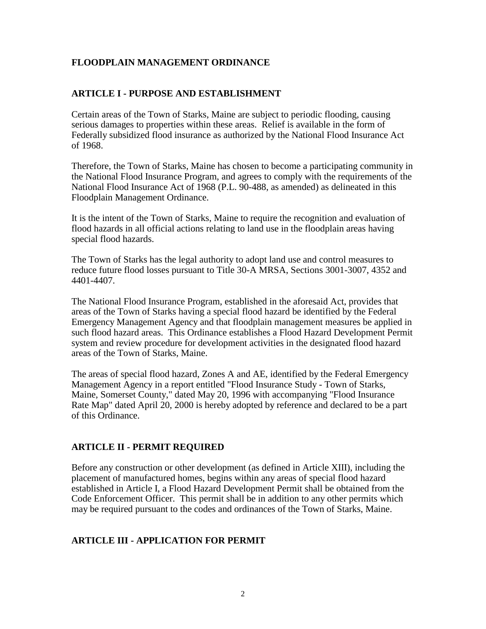### **FLOODPLAIN MANAGEMENT ORDINANCE**

### **ARTICLE I - PURPOSE AND ESTABLISHMENT**

Certain areas of the Town of Starks, Maine are subject to periodic flooding, causing serious damages to properties within these areas. Relief is available in the form of Federally subsidized flood insurance as authorized by the National Flood Insurance Act of 1968.

Therefore, the Town of Starks, Maine has chosen to become a participating community in the National Flood Insurance Program, and agrees to comply with the requirements of the National Flood Insurance Act of 1968 (P.L. 90-488, as amended) as delineated in this Floodplain Management Ordinance.

It is the intent of the Town of Starks, Maine to require the recognition and evaluation of flood hazards in all official actions relating to land use in the floodplain areas having special flood hazards.

The Town of Starks has the legal authority to adopt land use and control measures to reduce future flood losses pursuant to Title 30-A MRSA, Sections 3001-3007, 4352 and 4401-4407.

The National Flood Insurance Program, established in the aforesaid Act, provides that areas of the Town of Starks having a special flood hazard be identified by the Federal Emergency Management Agency and that floodplain management measures be applied in such flood hazard areas. This Ordinance establishes a Flood Hazard Development Permit system and review procedure for development activities in the designated flood hazard areas of the Town of Starks, Maine.

The areas of special flood hazard, Zones A and AE, identified by the Federal Emergency Management Agency in a report entitled "Flood Insurance Study - Town of Starks, Maine, Somerset County," dated May 20, 1996 with accompanying "Flood Insurance Rate Map" dated April 20, 2000 is hereby adopted by reference and declared to be a part of this Ordinance.

#### **ARTICLE II - PERMIT REQUIRED**

Before any construction or other development (as defined in Article XIII), including the placement of manufactured homes, begins within any areas of special flood hazard established in Article I, a Flood Hazard Development Permit shall be obtained from the Code Enforcement Officer. This permit shall be in addition to any other permits which may be required pursuant to the codes and ordinances of the Town of Starks, Maine.

#### **ARTICLE III - APPLICATION FOR PERMIT**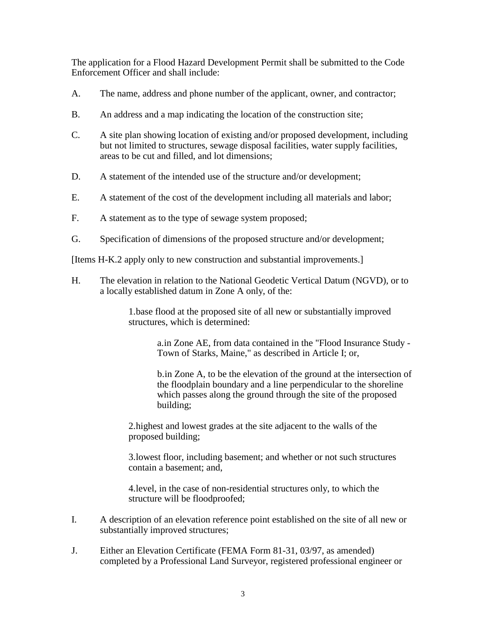The application for a Flood Hazard Development Permit shall be submitted to the Code Enforcement Officer and shall include:

- A. The name, address and phone number of the applicant, owner, and contractor;
- B. An address and a map indicating the location of the construction site;
- C. A site plan showing location of existing and/or proposed development, including but not limited to structures, sewage disposal facilities, water supply facilities, areas to be cut and filled, and lot dimensions;
- D. A statement of the intended use of the structure and/or development;
- E. A statement of the cost of the development including all materials and labor;
- F. A statement as to the type of sewage system proposed;
- G. Specification of dimensions of the proposed structure and/or development;

[Items H-K.2 apply only to new construction and substantial improvements.]

H. The elevation in relation to the National Geodetic Vertical Datum (NGVD), or to a locally established datum in Zone A only, of the:

> 1.base flood at the proposed site of all new or substantially improved structures, which is determined:

> > a.in Zone AE, from data contained in the "Flood Insurance Study - Town of Starks, Maine," as described in Article I; or,

> > b.in Zone A, to be the elevation of the ground at the intersection of the floodplain boundary and a line perpendicular to the shoreline which passes along the ground through the site of the proposed building;

2.highest and lowest grades at the site adjacent to the walls of the proposed building;

3.lowest floor, including basement; and whether or not such structures contain a basement; and,

4.level, in the case of non-residential structures only, to which the structure will be floodproofed;

- I. A description of an elevation reference point established on the site of all new or substantially improved structures;
- J. Either an Elevation Certificate (FEMA Form 81-31, 03/97, as amended) completed by a Professional Land Surveyor, registered professional engineer or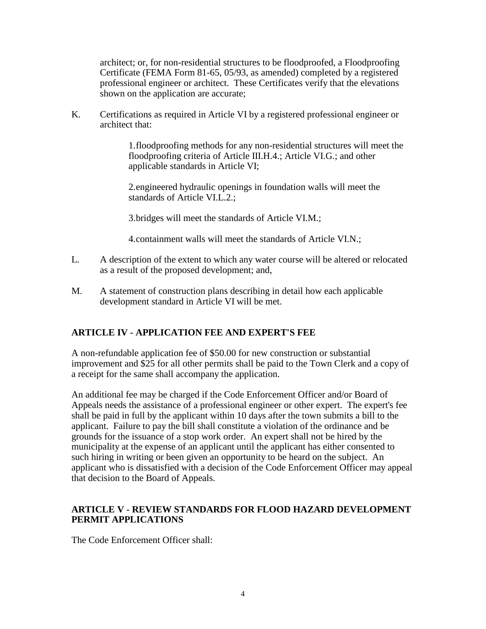architect; or, for non-residential structures to be floodproofed, a Floodproofing Certificate (FEMA Form 81-65, 05/93, as amended) completed by a registered professional engineer or architect. These Certificates verify that the elevations shown on the application are accurate;

K. Certifications as required in Article VI by a registered professional engineer or architect that:

> 1.floodproofing methods for any non-residential structures will meet the floodproofing criteria of Article III.H.4.; Article VI.G.; and other applicable standards in Article VI;

2.engineered hydraulic openings in foundation walls will meet the standards of Article VI.L.2.;

3.bridges will meet the standards of Article VI.M.;

4.containment walls will meet the standards of Article VI.N.;

- L. A description of the extent to which any water course will be altered or relocated as a result of the proposed development; and,
- M. A statement of construction plans describing in detail how each applicable development standard in Article VI will be met.

## **ARTICLE IV - APPLICATION FEE AND EXPERT'S FEE**

A non-refundable application fee of \$50.00 for new construction or substantial improvement and \$25 for all other permits shall be paid to the Town Clerk and a copy of a receipt for the same shall accompany the application.

An additional fee may be charged if the Code Enforcement Officer and/or Board of Appeals needs the assistance of a professional engineer or other expert. The expert's fee shall be paid in full by the applicant within 10 days after the town submits a bill to the applicant. Failure to pay the bill shall constitute a violation of the ordinance and be grounds for the issuance of a stop work order. An expert shall not be hired by the municipality at the expense of an applicant until the applicant has either consented to such hiring in writing or been given an opportunity to be heard on the subject. An applicant who is dissatisfied with a decision of the Code Enforcement Officer may appeal that decision to the Board of Appeals.

## **ARTICLE V - REVIEW STANDARDS FOR FLOOD HAZARD DEVELOPMENT PERMIT APPLICATIONS**

The Code Enforcement Officer shall: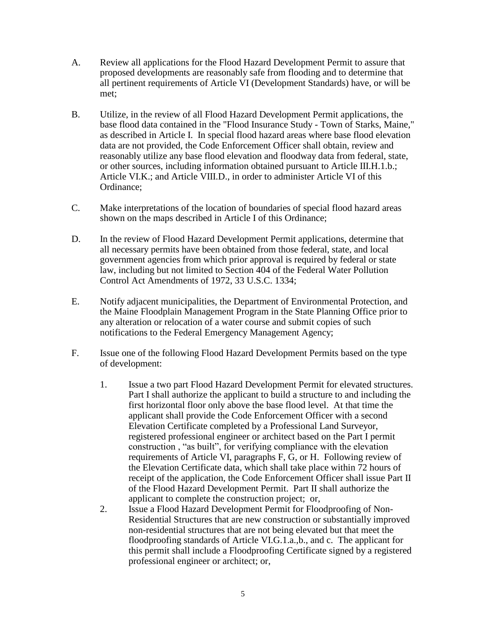- A. Review all applications for the Flood Hazard Development Permit to assure that proposed developments are reasonably safe from flooding and to determine that all pertinent requirements of Article VI (Development Standards) have, or will be met;
- B. Utilize, in the review of all Flood Hazard Development Permit applications, the base flood data contained in the "Flood Insurance Study - Town of Starks, Maine," as described in Article I. In special flood hazard areas where base flood elevation data are not provided, the Code Enforcement Officer shall obtain, review and reasonably utilize any base flood elevation and floodway data from federal, state, or other sources, including information obtained pursuant to Article III.H.1.b.; Article VI.K.; and Article VIII.D., in order to administer Article VI of this Ordinance;
- C. Make interpretations of the location of boundaries of special flood hazard areas shown on the maps described in Article I of this Ordinance;
- D. In the review of Flood Hazard Development Permit applications, determine that all necessary permits have been obtained from those federal, state, and local government agencies from which prior approval is required by federal or state law, including but not limited to Section 404 of the Federal Water Pollution Control Act Amendments of 1972, 33 U.S.C. 1334;
- E. Notify adjacent municipalities, the Department of Environmental Protection, and the Maine Floodplain Management Program in the State Planning Office prior to any alteration or relocation of a water course and submit copies of such notifications to the Federal Emergency Management Agency;
- F. Issue one of the following Flood Hazard Development Permits based on the type of development:
	- 1. Issue a two part Flood Hazard Development Permit for elevated structures. Part I shall authorize the applicant to build a structure to and including the first horizontal floor only above the base flood level. At that time the applicant shall provide the Code Enforcement Officer with a second Elevation Certificate completed by a Professional Land Surveyor, registered professional engineer or architect based on the Part I permit construction , "as built", for verifying compliance with the elevation requirements of Article VI, paragraphs F, G, or H. Following review of the Elevation Certificate data, which shall take place within 72 hours of receipt of the application, the Code Enforcement Officer shall issue Part II of the Flood Hazard Development Permit. Part II shall authorize the applicant to complete the construction project; or,
	- 2. Issue a Flood Hazard Development Permit for Floodproofing of Non-Residential Structures that are new construction or substantially improved non-residential structures that are not being elevated but that meet the floodproofing standards of Article VI.G.1.a.,b., and c. The applicant for this permit shall include a Floodproofing Certificate signed by a registered professional engineer or architect; or,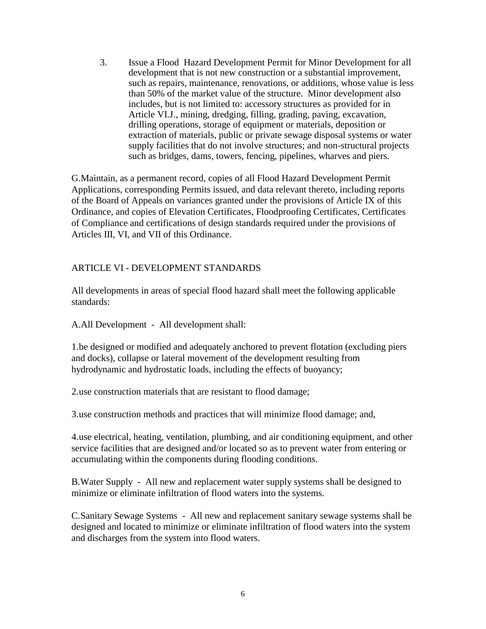3. Issue a Flood Hazard Development Permit for Minor Development for all development that is not new construction or a substantial improvement, such as repairs, maintenance, renovations, or additions, whose value is less than 50% of the market value of the structure. Minor development also includes, but is not limited to: accessory structures as provided for in Article VI.J., mining, dredging, filling, grading, paving, excavation, drilling operations, storage of equipment or materials, deposition or extraction of materials, public or private sewage disposal systems or water supply facilities that do not involve structures; and non-structural projects such as bridges, dams, towers, fencing, pipelines, wharves and piers.

G.Maintain, as a permanent record, copies of all Flood Hazard Development Permit Applications, corresponding Permits issued, and data relevant thereto, including reports of the Board of Appeals on variances granted under the provisions of Article IX of this Ordinance, and copies of Elevation Certificates, Floodproofing Certificates, Certificates of Compliance and certifications of design standards required under the provisions of Articles III, VI, and VII of this Ordinance.

## ARTICLE VI - DEVELOPMENT STANDARDS

All developments in areas of special flood hazard shall meet the following applicable standards:

A.All Development - All development shall:

1.be designed or modified and adequately anchored to prevent flotation (excluding piers and docks), collapse or lateral movement of the development resulting from hydrodynamic and hydrostatic loads, including the effects of buoyancy;

2.use construction materials that are resistant to flood damage;

3.use construction methods and practices that will minimize flood damage; and,

4.use electrical, heating, ventilation, plumbing, and air conditioning equipment, and other service facilities that are designed and/or located so as to prevent water from entering or accumulating within the components during flooding conditions.

B.Water Supply - All new and replacement water supply systems shall be designed to minimize or eliminate infiltration of flood waters into the systems.

C.Sanitary Sewage Systems - All new and replacement sanitary sewage systems shall be designed and located to minimize or eliminate infiltration of flood waters into the system and discharges from the system into flood waters.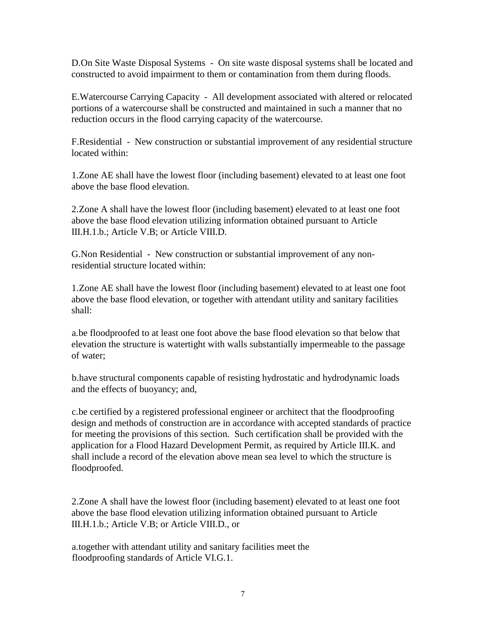D.On Site Waste Disposal Systems - On site waste disposal systems shall be located and constructed to avoid impairment to them or contamination from them during floods.

E.Watercourse Carrying Capacity - All development associated with altered or relocated portions of a watercourse shall be constructed and maintained in such a manner that no reduction occurs in the flood carrying capacity of the watercourse.

F.Residential - New construction or substantial improvement of any residential structure located within:

1.Zone AE shall have the lowest floor (including basement) elevated to at least one foot above the base flood elevation.

2.Zone A shall have the lowest floor (including basement) elevated to at least one foot above the base flood elevation utilizing information obtained pursuant to Article III.H.1.b.; Article V.B; or Article VIII.D.

G.Non Residential - New construction or substantial improvement of any nonresidential structure located within:

1.Zone AE shall have the lowest floor (including basement) elevated to at least one foot above the base flood elevation, or together with attendant utility and sanitary facilities shall:

a.be floodproofed to at least one foot above the base flood elevation so that below that elevation the structure is watertight with walls substantially impermeable to the passage of water;

b.have structural components capable of resisting hydrostatic and hydrodynamic loads and the effects of buoyancy; and,

c.be certified by a registered professional engineer or architect that the floodproofing design and methods of construction are in accordance with accepted standards of practice for meeting the provisions of this section. Such certification shall be provided with the application for a Flood Hazard Development Permit, as required by Article III.K. and shall include a record of the elevation above mean sea level to which the structure is floodproofed.

2.Zone A shall have the lowest floor (including basement) elevated to at least one foot above the base flood elevation utilizing information obtained pursuant to Article III.H.1.b.; Article V.B; or Article VIII.D., or

a.together with attendant utility and sanitary facilities meet the floodproofing standards of Article VI.G.1.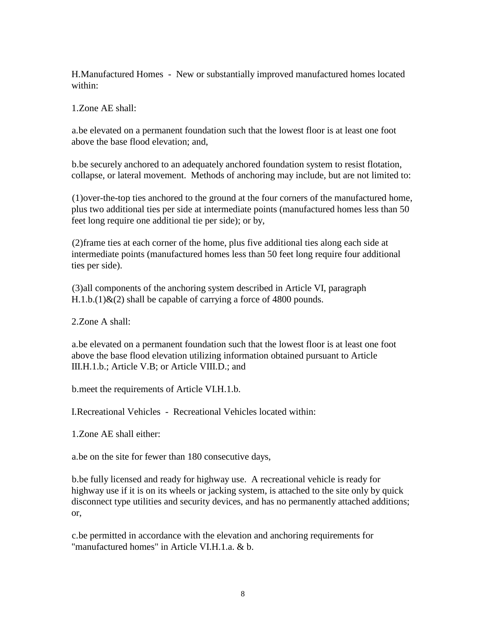H.Manufactured Homes - New or substantially improved manufactured homes located within:

1.Zone AE shall:

a.be elevated on a permanent foundation such that the lowest floor is at least one foot above the base flood elevation; and,

b.be securely anchored to an adequately anchored foundation system to resist flotation, collapse, or lateral movement. Methods of anchoring may include, but are not limited to:

(1)over-the-top ties anchored to the ground at the four corners of the manufactured home, plus two additional ties per side at intermediate points (manufactured homes less than 50 feet long require one additional tie per side); or by,

(2)frame ties at each corner of the home, plus five additional ties along each side at intermediate points (manufactured homes less than 50 feet long require four additional ties per side).

(3)all components of the anchoring system described in Article VI, paragraph  $H.1.b.(1) & (2)$  shall be capable of carrying a force of 4800 pounds.

2.Zone A shall:

a.be elevated on a permanent foundation such that the lowest floor is at least one foot above the base flood elevation utilizing information obtained pursuant to Article III.H.1.b.; Article V.B; or Article VIII.D.; and

b.meet the requirements of Article VI.H.1.b.

I.Recreational Vehicles - Recreational Vehicles located within:

1.Zone AE shall either:

a.be on the site for fewer than 180 consecutive days,

b.be fully licensed and ready for highway use. A recreational vehicle is ready for highway use if it is on its wheels or jacking system, is attached to the site only by quick disconnect type utilities and security devices, and has no permanently attached additions; or,

c.be permitted in accordance with the elevation and anchoring requirements for "manufactured homes" in Article VI.H.1.a. & b.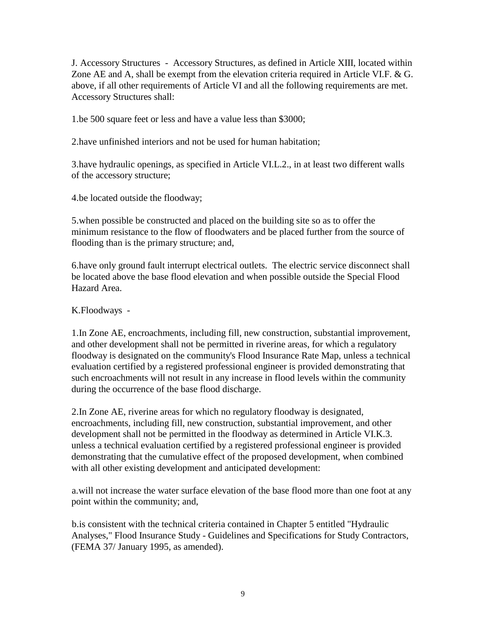J. Accessory Structures - Accessory Structures, as defined in Article XIII, located within Zone AE and A, shall be exempt from the elevation criteria required in Article VI.F. & G. above, if all other requirements of Article VI and all the following requirements are met. Accessory Structures shall:

1.be 500 square feet or less and have a value less than \$3000;

2.have unfinished interiors and not be used for human habitation;

3.have hydraulic openings, as specified in Article VI.L.2., in at least two different walls of the accessory structure;

4.be located outside the floodway;

5.when possible be constructed and placed on the building site so as to offer the minimum resistance to the flow of floodwaters and be placed further from the source of flooding than is the primary structure; and,

6.have only ground fault interrupt electrical outlets. The electric service disconnect shall be located above the base flood elevation and when possible outside the Special Flood Hazard Area.

K.Floodways -

1.In Zone AE, encroachments, including fill, new construction, substantial improvement, and other development shall not be permitted in riverine areas, for which a regulatory floodway is designated on the community's Flood Insurance Rate Map, unless a technical evaluation certified by a registered professional engineer is provided demonstrating that such encroachments will not result in any increase in flood levels within the community during the occurrence of the base flood discharge.

2.In Zone AE, riverine areas for which no regulatory floodway is designated, encroachments, including fill, new construction, substantial improvement, and other development shall not be permitted in the floodway as determined in Article VI.K.3. unless a technical evaluation certified by a registered professional engineer is provided demonstrating that the cumulative effect of the proposed development, when combined with all other existing development and anticipated development:

a.will not increase the water surface elevation of the base flood more than one foot at any point within the community; and,

b.is consistent with the technical criteria contained in Chapter 5 entitled "Hydraulic Analyses," Flood Insurance Study - Guidelines and Specifications for Study Contractors, (FEMA 37/ January 1995, as amended).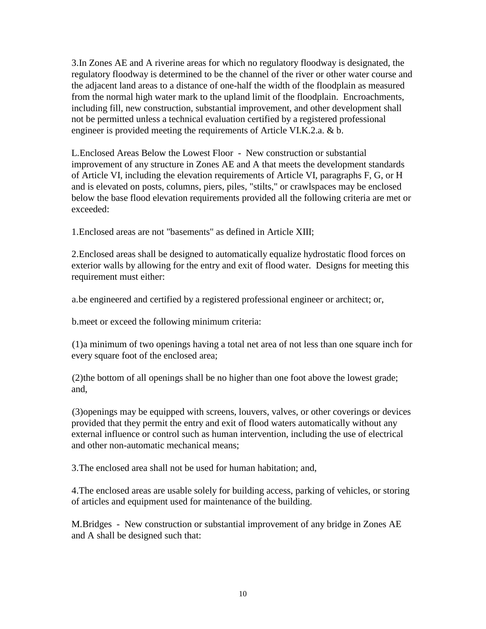3.In Zones AE and A riverine areas for which no regulatory floodway is designated, the regulatory floodway is determined to be the channel of the river or other water course and the adjacent land areas to a distance of one-half the width of the floodplain as measured from the normal high water mark to the upland limit of the floodplain. Encroachments, including fill, new construction, substantial improvement, and other development shall not be permitted unless a technical evaluation certified by a registered professional engineer is provided meeting the requirements of Article VI.K.2.a. & b.

L.Enclosed Areas Below the Lowest Floor - New construction or substantial improvement of any structure in Zones AE and A that meets the development standards of Article VI, including the elevation requirements of Article VI, paragraphs F, G, or H and is elevated on posts, columns, piers, piles, "stilts," or crawlspaces may be enclosed below the base flood elevation requirements provided all the following criteria are met or exceeded:

1.Enclosed areas are not "basements" as defined in Article XIII;

2.Enclosed areas shall be designed to automatically equalize hydrostatic flood forces on exterior walls by allowing for the entry and exit of flood water. Designs for meeting this requirement must either:

a.be engineered and certified by a registered professional engineer or architect; or,

b.meet or exceed the following minimum criteria:

(1)a minimum of two openings having a total net area of not less than one square inch for every square foot of the enclosed area;

(2)the bottom of all openings shall be no higher than one foot above the lowest grade; and,

(3)openings may be equipped with screens, louvers, valves, or other coverings or devices provided that they permit the entry and exit of flood waters automatically without any external influence or control such as human intervention, including the use of electrical and other non-automatic mechanical means;

3.The enclosed area shall not be used for human habitation; and,

4.The enclosed areas are usable solely for building access, parking of vehicles, or storing of articles and equipment used for maintenance of the building.

M.Bridges - New construction or substantial improvement of any bridge in Zones AE and A shall be designed such that: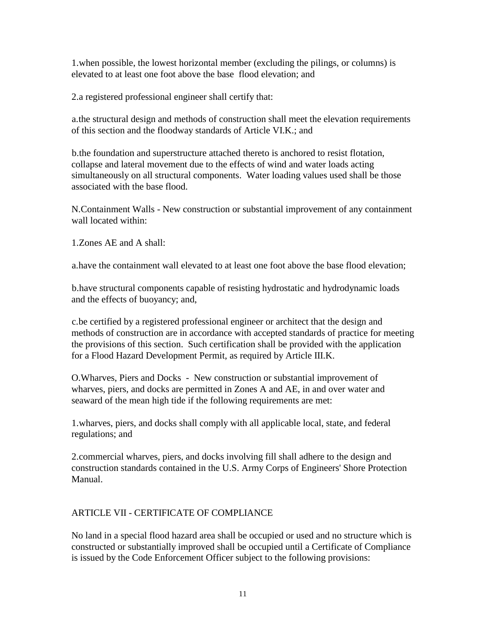1.when possible, the lowest horizontal member (excluding the pilings, or columns) is elevated to at least one foot above the base flood elevation; and

2.a registered professional engineer shall certify that:

a.the structural design and methods of construction shall meet the elevation requirements of this section and the floodway standards of Article VI.K.; and

b.the foundation and superstructure attached thereto is anchored to resist flotation, collapse and lateral movement due to the effects of wind and water loads acting simultaneously on all structural components. Water loading values used shall be those associated with the base flood.

N.Containment Walls - New construction or substantial improvement of any containment wall located within:

1.Zones AE and A shall:

a.have the containment wall elevated to at least one foot above the base flood elevation;

b.have structural components capable of resisting hydrostatic and hydrodynamic loads and the effects of buoyancy; and,

c.be certified by a registered professional engineer or architect that the design and methods of construction are in accordance with accepted standards of practice for meeting the provisions of this section. Such certification shall be provided with the application for a Flood Hazard Development Permit, as required by Article III.K.

O.Wharves, Piers and Docks - New construction or substantial improvement of wharves, piers, and docks are permitted in Zones A and AE, in and over water and seaward of the mean high tide if the following requirements are met:

1.wharves, piers, and docks shall comply with all applicable local, state, and federal regulations; and

2.commercial wharves, piers, and docks involving fill shall adhere to the design and construction standards contained in the U.S. Army Corps of Engineers' Shore Protection Manual.

# ARTICLE VII - CERTIFICATE OF COMPLIANCE

No land in a special flood hazard area shall be occupied or used and no structure which is constructed or substantially improved shall be occupied until a Certificate of Compliance is issued by the Code Enforcement Officer subject to the following provisions: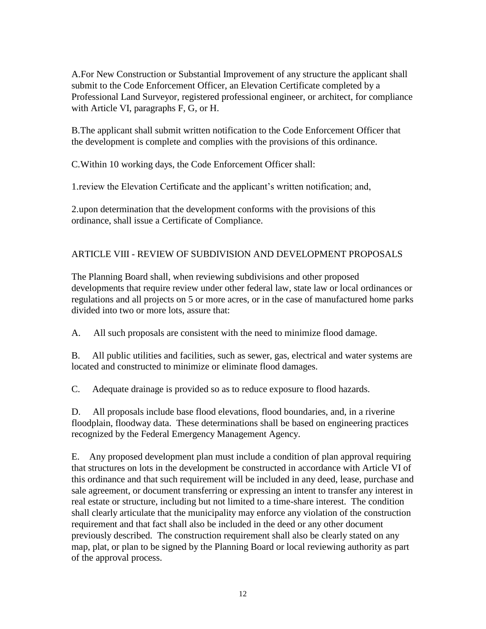A.For New Construction or Substantial Improvement of any structure the applicant shall submit to the Code Enforcement Officer, an Elevation Certificate completed by a Professional Land Surveyor, registered professional engineer, or architect, for compliance with Article VI, paragraphs F, G, or H.

B.The applicant shall submit written notification to the Code Enforcement Officer that the development is complete and complies with the provisions of this ordinance.

C.Within 10 working days, the Code Enforcement Officer shall:

1.review the Elevation Certificate and the applicant's written notification; and,

2.upon determination that the development conforms with the provisions of this ordinance, shall issue a Certificate of Compliance.

# ARTICLE VIII - REVIEW OF SUBDIVISION AND DEVELOPMENT PROPOSALS

The Planning Board shall, when reviewing subdivisions and other proposed developments that require review under other federal law, state law or local ordinances or regulations and all projects on 5 or more acres, or in the case of manufactured home parks divided into two or more lots, assure that:

A. All such proposals are consistent with the need to minimize flood damage.

B. All public utilities and facilities, such as sewer, gas, electrical and water systems are located and constructed to minimize or eliminate flood damages.

C. Adequate drainage is provided so as to reduce exposure to flood hazards.

D. All proposals include base flood elevations, flood boundaries, and, in a riverine floodplain, floodway data. These determinations shall be based on engineering practices recognized by the Federal Emergency Management Agency.

E. Any proposed development plan must include a condition of plan approval requiring that structures on lots in the development be constructed in accordance with Article VI of this ordinance and that such requirement will be included in any deed, lease, purchase and sale agreement, or document transferring or expressing an intent to transfer any interest in real estate or structure, including but not limited to a time-share interest. The condition shall clearly articulate that the municipality may enforce any violation of the construction requirement and that fact shall also be included in the deed or any other document previously described. The construction requirement shall also be clearly stated on any map, plat, or plan to be signed by the Planning Board or local reviewing authority as part of the approval process.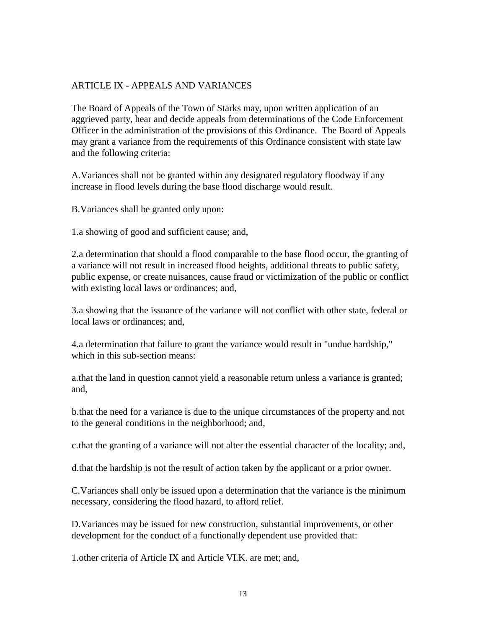## ARTICLE IX - APPEALS AND VARIANCES

The Board of Appeals of the Town of Starks may, upon written application of an aggrieved party, hear and decide appeals from determinations of the Code Enforcement Officer in the administration of the provisions of this Ordinance. The Board of Appeals may grant a variance from the requirements of this Ordinance consistent with state law and the following criteria:

A.Variances shall not be granted within any designated regulatory floodway if any increase in flood levels during the base flood discharge would result.

B.Variances shall be granted only upon:

1.a showing of good and sufficient cause; and,

2.a determination that should a flood comparable to the base flood occur, the granting of a variance will not result in increased flood heights, additional threats to public safety, public expense, or create nuisances, cause fraud or victimization of the public or conflict with existing local laws or ordinances; and,

3.a showing that the issuance of the variance will not conflict with other state, federal or local laws or ordinances; and

4.a determination that failure to grant the variance would result in "undue hardship," which in this sub-section means:

a.that the land in question cannot yield a reasonable return unless a variance is granted; and,

b.that the need for a variance is due to the unique circumstances of the property and not to the general conditions in the neighborhood; and,

c.that the granting of a variance will not alter the essential character of the locality; and,

d.that the hardship is not the result of action taken by the applicant or a prior owner.

C.Variances shall only be issued upon a determination that the variance is the minimum necessary, considering the flood hazard, to afford relief.

D.Variances may be issued for new construction, substantial improvements, or other development for the conduct of a functionally dependent use provided that:

1.other criteria of Article IX and Article VI.K. are met; and,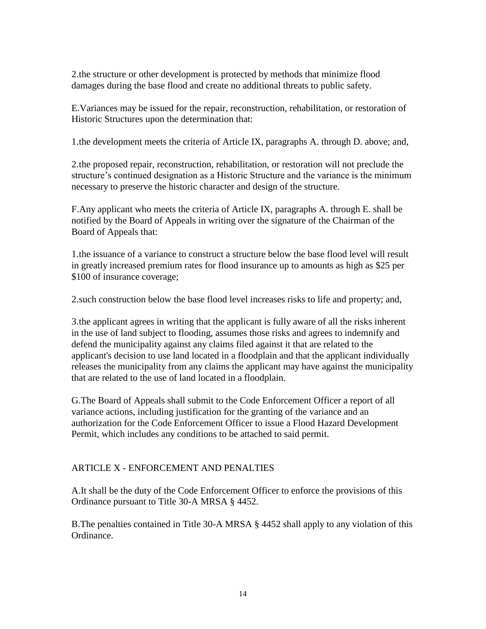2.the structure or other development is protected by methods that minimize flood damages during the base flood and create no additional threats to public safety.

E.Variances may be issued for the repair, reconstruction, rehabilitation, or restoration of Historic Structures upon the determination that:

1.the development meets the criteria of Article IX, paragraphs A. through D. above; and,

2.the proposed repair, reconstruction, rehabilitation, or restoration will not preclude the structure's continued designation as a Historic Structure and the variance is the minimum necessary to preserve the historic character and design of the structure.

F.Any applicant who meets the criteria of Article IX, paragraphs A. through E. shall be notified by the Board of Appeals in writing over the signature of the Chairman of the Board of Appeals that:

1.the issuance of a variance to construct a structure below the base flood level will result in greatly increased premium rates for flood insurance up to amounts as high as \$25 per \$100 of insurance coverage;

2.such construction below the base flood level increases risks to life and property; and,

3.the applicant agrees in writing that the applicant is fully aware of all the risks inherent in the use of land subject to flooding, assumes those risks and agrees to indemnify and defend the municipality against any claims filed against it that are related to the applicant's decision to use land located in a floodplain and that the applicant individually releases the municipality from any claims the applicant may have against the municipality that are related to the use of land located in a floodplain.

G.The Board of Appeals shall submit to the Code Enforcement Officer a report of all variance actions, including justification for the granting of the variance and an authorization for the Code Enforcement Officer to issue a Flood Hazard Development Permit, which includes any conditions to be attached to said permit.

## ARTICLE X - ENFORCEMENT AND PENALTIES

A.It shall be the duty of the Code Enforcement Officer to enforce the provisions of this Ordinance pursuant to Title 30-A MRSA § 4452.

B.The penalties contained in Title 30-A MRSA § 4452 shall apply to any violation of this Ordinance.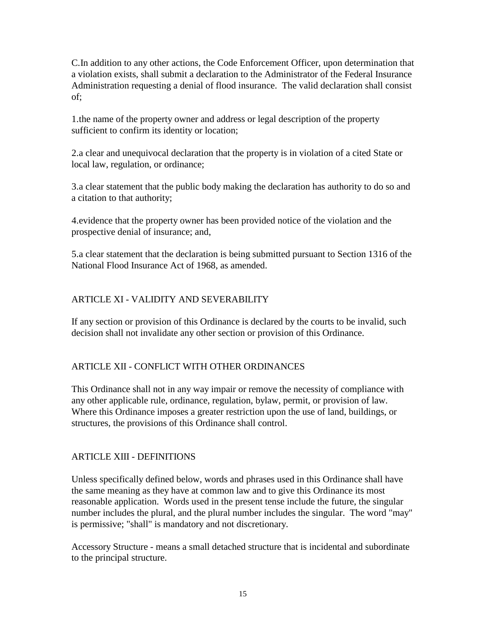C.In addition to any other actions, the Code Enforcement Officer, upon determination that a violation exists, shall submit a declaration to the Administrator of the Federal Insurance Administration requesting a denial of flood insurance. The valid declaration shall consist of;

1.the name of the property owner and address or legal description of the property sufficient to confirm its identity or location;

2.a clear and unequivocal declaration that the property is in violation of a cited State or local law, regulation, or ordinance;

3.a clear statement that the public body making the declaration has authority to do so and a citation to that authority;

4.evidence that the property owner has been provided notice of the violation and the prospective denial of insurance; and,

5.a clear statement that the declaration is being submitted pursuant to Section 1316 of the National Flood Insurance Act of 1968, as amended.

# ARTICLE XI - VALIDITY AND SEVERABILITY

If any section or provision of this Ordinance is declared by the courts to be invalid, such decision shall not invalidate any other section or provision of this Ordinance.

## ARTICLE XII - CONFLICT WITH OTHER ORDINANCES

This Ordinance shall not in any way impair or remove the necessity of compliance with any other applicable rule, ordinance, regulation, bylaw, permit, or provision of law. Where this Ordinance imposes a greater restriction upon the use of land, buildings, or structures, the provisions of this Ordinance shall control.

## ARTICLE XIII - DEFINITIONS

Unless specifically defined below, words and phrases used in this Ordinance shall have the same meaning as they have at common law and to give this Ordinance its most reasonable application. Words used in the present tense include the future, the singular number includes the plural, and the plural number includes the singular. The word "may" is permissive; "shall" is mandatory and not discretionary.

Accessory Structure - means a small detached structure that is incidental and subordinate to the principal structure.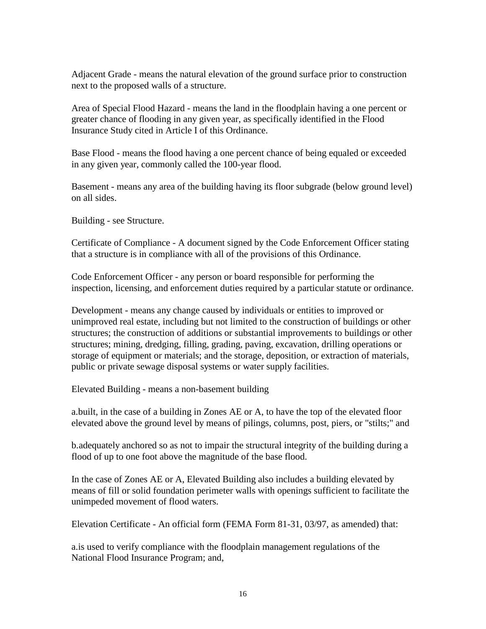Adjacent Grade - means the natural elevation of the ground surface prior to construction next to the proposed walls of a structure.

Area of Special Flood Hazard - means the land in the floodplain having a one percent or greater chance of flooding in any given year, as specifically identified in the Flood Insurance Study cited in Article I of this Ordinance.

Base Flood - means the flood having a one percent chance of being equaled or exceeded in any given year, commonly called the 100-year flood.

Basement - means any area of the building having its floor subgrade (below ground level) on all sides.

Building - see Structure.

Certificate of Compliance - A document signed by the Code Enforcement Officer stating that a structure is in compliance with all of the provisions of this Ordinance.

Code Enforcement Officer - any person or board responsible for performing the inspection, licensing, and enforcement duties required by a particular statute or ordinance.

Development - means any change caused by individuals or entities to improved or unimproved real estate, including but not limited to the construction of buildings or other structures; the construction of additions or substantial improvements to buildings or other structures; mining, dredging, filling, grading, paving, excavation, drilling operations or storage of equipment or materials; and the storage, deposition, or extraction of materials, public or private sewage disposal systems or water supply facilities.

Elevated Building - means a non-basement building

a.built, in the case of a building in Zones AE or A, to have the top of the elevated floor elevated above the ground level by means of pilings, columns, post, piers, or "stilts;" and

b.adequately anchored so as not to impair the structural integrity of the building during a flood of up to one foot above the magnitude of the base flood.

In the case of Zones AE or A, Elevated Building also includes a building elevated by means of fill or solid foundation perimeter walls with openings sufficient to facilitate the unimpeded movement of flood waters.

Elevation Certificate - An official form (FEMA Form 81-31, 03/97, as amended) that:

a.is used to verify compliance with the floodplain management regulations of the National Flood Insurance Program; and,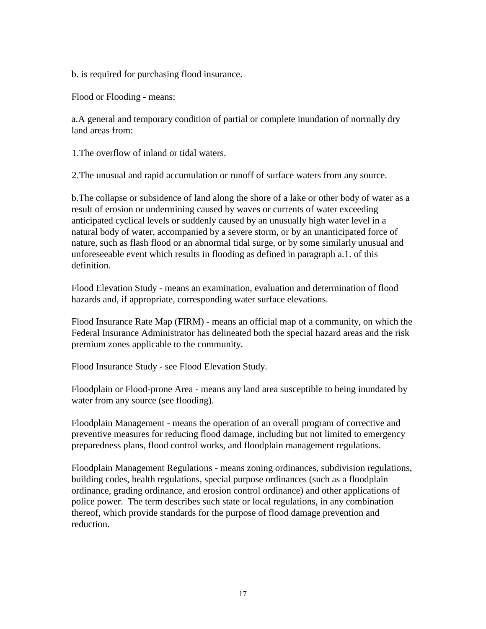b. is required for purchasing flood insurance.

Flood or Flooding - means:

a.A general and temporary condition of partial or complete inundation of normally dry land areas from:

1.The overflow of inland or tidal waters.

2.The unusual and rapid accumulation or runoff of surface waters from any source.

b.The collapse or subsidence of land along the shore of a lake or other body of water as a result of erosion or undermining caused by waves or currents of water exceeding anticipated cyclical levels or suddenly caused by an unusually high water level in a natural body of water, accompanied by a severe storm, or by an unanticipated force of nature, such as flash flood or an abnormal tidal surge, or by some similarly unusual and unforeseeable event which results in flooding as defined in paragraph a.1. of this definition.

Flood Elevation Study - means an examination, evaluation and determination of flood hazards and, if appropriate, corresponding water surface elevations.

Flood Insurance Rate Map (FIRM) - means an official map of a community, on which the Federal Insurance Administrator has delineated both the special hazard areas and the risk premium zones applicable to the community.

Flood Insurance Study - see Flood Elevation Study.

Floodplain or Flood-prone Area - means any land area susceptible to being inundated by water from any source (see flooding).

Floodplain Management - means the operation of an overall program of corrective and preventive measures for reducing flood damage, including but not limited to emergency preparedness plans, flood control works, and floodplain management regulations.

Floodplain Management Regulations - means zoning ordinances, subdivision regulations, building codes, health regulations, special purpose ordinances (such as a floodplain ordinance, grading ordinance, and erosion control ordinance) and other applications of police power. The term describes such state or local regulations, in any combination thereof, which provide standards for the purpose of flood damage prevention and reduction.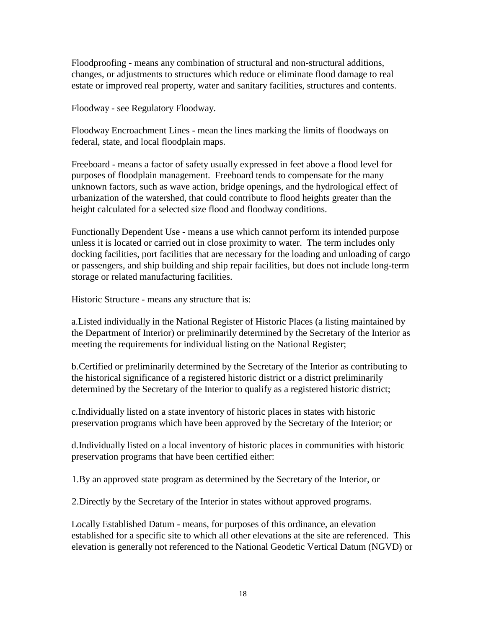Floodproofing - means any combination of structural and non-structural additions, changes, or adjustments to structures which reduce or eliminate flood damage to real estate or improved real property, water and sanitary facilities, structures and contents.

Floodway - see Regulatory Floodway.

Floodway Encroachment Lines - mean the lines marking the limits of floodways on federal, state, and local floodplain maps.

Freeboard - means a factor of safety usually expressed in feet above a flood level for purposes of floodplain management. Freeboard tends to compensate for the many unknown factors, such as wave action, bridge openings, and the hydrological effect of urbanization of the watershed, that could contribute to flood heights greater than the height calculated for a selected size flood and floodway conditions.

Functionally Dependent Use - means a use which cannot perform its intended purpose unless it is located or carried out in close proximity to water. The term includes only docking facilities, port facilities that are necessary for the loading and unloading of cargo or passengers, and ship building and ship repair facilities, but does not include long-term storage or related manufacturing facilities.

Historic Structure - means any structure that is:

a.Listed individually in the National Register of Historic Places (a listing maintained by the Department of Interior) or preliminarily determined by the Secretary of the Interior as meeting the requirements for individual listing on the National Register;

b.Certified or preliminarily determined by the Secretary of the Interior as contributing to the historical significance of a registered historic district or a district preliminarily determined by the Secretary of the Interior to qualify as a registered historic district;

c.Individually listed on a state inventory of historic places in states with historic preservation programs which have been approved by the Secretary of the Interior; or

d.Individually listed on a local inventory of historic places in communities with historic preservation programs that have been certified either:

1.By an approved state program as determined by the Secretary of the Interior, or

2.Directly by the Secretary of the Interior in states without approved programs.

Locally Established Datum - means, for purposes of this ordinance, an elevation established for a specific site to which all other elevations at the site are referenced. This elevation is generally not referenced to the National Geodetic Vertical Datum (NGVD) or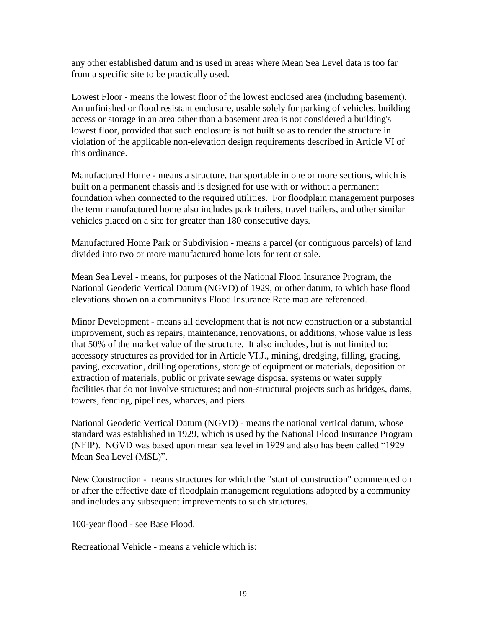any other established datum and is used in areas where Mean Sea Level data is too far from a specific site to be practically used.

Lowest Floor - means the lowest floor of the lowest enclosed area (including basement). An unfinished or flood resistant enclosure, usable solely for parking of vehicles, building access or storage in an area other than a basement area is not considered a building's lowest floor, provided that such enclosure is not built so as to render the structure in violation of the applicable non-elevation design requirements described in Article VI of this ordinance.

Manufactured Home - means a structure, transportable in one or more sections, which is built on a permanent chassis and is designed for use with or without a permanent foundation when connected to the required utilities. For floodplain management purposes the term manufactured home also includes park trailers, travel trailers, and other similar vehicles placed on a site for greater than 180 consecutive days.

Manufactured Home Park or Subdivision - means a parcel (or contiguous parcels) of land divided into two or more manufactured home lots for rent or sale.

Mean Sea Level - means, for purposes of the National Flood Insurance Program, the National Geodetic Vertical Datum (NGVD) of 1929, or other datum, to which base flood elevations shown on a community's Flood Insurance Rate map are referenced.

Minor Development - means all development that is not new construction or a substantial improvement, such as repairs, maintenance, renovations, or additions, whose value is less that 50% of the market value of the structure. It also includes, but is not limited to: accessory structures as provided for in Article VI.J., mining, dredging, filling, grading, paving, excavation, drilling operations, storage of equipment or materials, deposition or extraction of materials, public or private sewage disposal systems or water supply facilities that do not involve structures; and non-structural projects such as bridges, dams, towers, fencing, pipelines, wharves, and piers.

National Geodetic Vertical Datum (NGVD) - means the national vertical datum, whose standard was established in 1929, which is used by the National Flood Insurance Program (NFIP). NGVD was based upon mean sea level in 1929 and also has been called "1929 Mean Sea Level (MSL)".

New Construction - means structures for which the "start of construction" commenced on or after the effective date of floodplain management regulations adopted by a community and includes any subsequent improvements to such structures.

100-year flood - see Base Flood.

Recreational Vehicle - means a vehicle which is: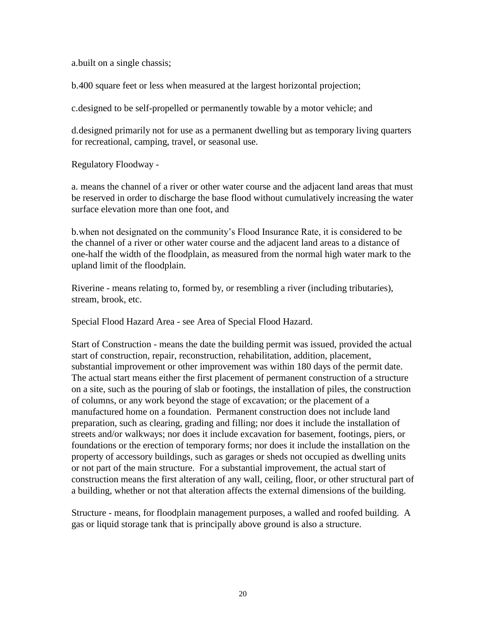a.built on a single chassis;

b.400 square feet or less when measured at the largest horizontal projection;

c.designed to be self-propelled or permanently towable by a motor vehicle; and

d.designed primarily not for use as a permanent dwelling but as temporary living quarters for recreational, camping, travel, or seasonal use.

Regulatory Floodway -

a. means the channel of a river or other water course and the adjacent land areas that must be reserved in order to discharge the base flood without cumulatively increasing the water surface elevation more than one foot, and

b.when not designated on the community's Flood Insurance Rate, it is considered to be the channel of a river or other water course and the adjacent land areas to a distance of one-half the width of the floodplain, as measured from the normal high water mark to the upland limit of the floodplain.

Riverine - means relating to, formed by, or resembling a river (including tributaries), stream, brook, etc.

Special Flood Hazard Area - see Area of Special Flood Hazard.

Start of Construction - means the date the building permit was issued, provided the actual start of construction, repair, reconstruction, rehabilitation, addition, placement, substantial improvement or other improvement was within 180 days of the permit date. The actual start means either the first placement of permanent construction of a structure on a site, such as the pouring of slab or footings, the installation of piles, the construction of columns, or any work beyond the stage of excavation; or the placement of a manufactured home on a foundation. Permanent construction does not include land preparation, such as clearing, grading and filling; nor does it include the installation of streets and/or walkways; nor does it include excavation for basement, footings, piers, or foundations or the erection of temporary forms; nor does it include the installation on the property of accessory buildings, such as garages or sheds not occupied as dwelling units or not part of the main structure. For a substantial improvement, the actual start of construction means the first alteration of any wall, ceiling, floor, or other structural part of a building, whether or not that alteration affects the external dimensions of the building.

Structure - means, for floodplain management purposes, a walled and roofed building. A gas or liquid storage tank that is principally above ground is also a structure.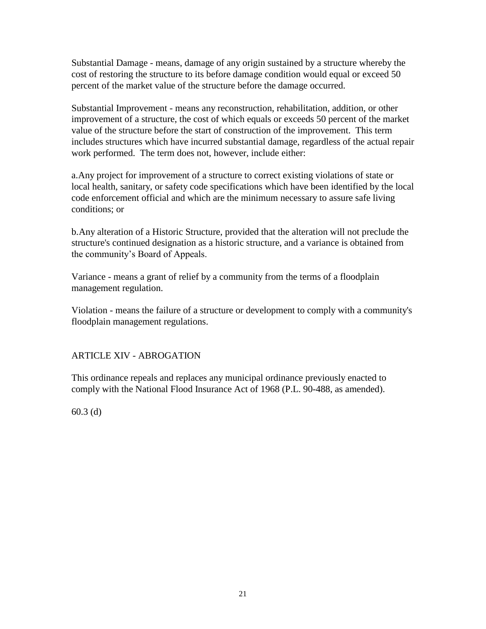Substantial Damage - means, damage of any origin sustained by a structure whereby the cost of restoring the structure to its before damage condition would equal or exceed 50 percent of the market value of the structure before the damage occurred.

Substantial Improvement - means any reconstruction, rehabilitation, addition, or other improvement of a structure, the cost of which equals or exceeds 50 percent of the market value of the structure before the start of construction of the improvement. This term includes structures which have incurred substantial damage, regardless of the actual repair work performed. The term does not, however, include either:

a.Any project for improvement of a structure to correct existing violations of state or local health, sanitary, or safety code specifications which have been identified by the local code enforcement official and which are the minimum necessary to assure safe living conditions; or

b.Any alteration of a Historic Structure, provided that the alteration will not preclude the structure's continued designation as a historic structure, and a variance is obtained from the community's Board of Appeals.

Variance - means a grant of relief by a community from the terms of a floodplain management regulation.

Violation - means the failure of a structure or development to comply with a community's floodplain management regulations.

## ARTICLE XIV - ABROGATION

This ordinance repeals and replaces any municipal ordinance previously enacted to comply with the National Flood Insurance Act of 1968 (P.L. 90-488, as amended).

60.3 (d)